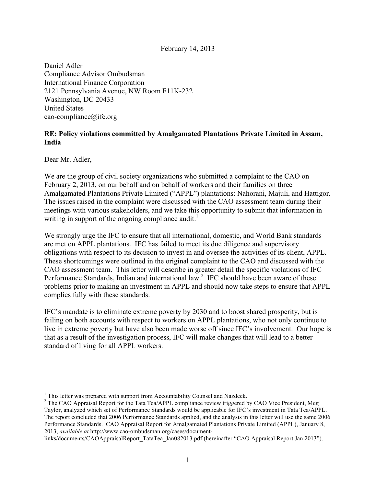#### February 14, 2013

Daniel Adler Compliance Advisor Ombudsman International Finance Corporation 2121 Pennsylvania Avenue, NW Room F11K-232 Washington, DC 20433 United States cao-compliance@ifc.org

#### **RE: Policy violations committed by Amalgamated Plantations Private Limited in Assam, India**

Dear Mr. Adler,

We are the group of civil society organizations who submitted a complaint to the CAO on February 2, 2013, on our behalf and on behalf of workers and their families on three Amalgamated Plantations Private Limited ("APPL") plantations: Nahorani, Majuli, and Hattigor. The issues raised in the complaint were discussed with the CAO assessment team during their meetings with various stakeholders, and we take this opportunity to submit that information in writing in support of the ongoing compliance audit.<sup>1</sup>

We strongly urge the IFC to ensure that all international, domestic, and World Bank standards are met on APPL plantations. IFC has failed to meet its due diligence and supervisory obligations with respect to its decision to invest in and oversee the activities of its client, APPL. These shortcomings were outlined in the original complaint to the CAO and discussed with the CAO assessment team. This letter will describe in greater detail the specific violations of IFC Performance Standards, Indian and international law.<sup>2</sup> IFC should have been aware of these problems prior to making an investment in APPL and should now take steps to ensure that APPL complies fully with these standards.

IFC's mandate is to eliminate extreme poverty by 2030 and to boost shared prosperity, but is failing on both accounts with respect to workers on APPL plantations, who not only continue to live in extreme poverty but have also been made worse off since IFC's involvement. Our hope is that as a result of the investigation process, IFC will make changes that will lead to a better standard of living for all APPL workers.

 $<sup>1</sup>$  This letter was prepared with support from Accountability Counsel and Nazdeek.</sup>

<sup>&</sup>lt;sup>2</sup> The CAO Appraisal Report for the Tata Tea/APPL compliance review triggered by CAO Vice President, Meg Taylor, analyzed which set of Performance Standards would be applicable for IFC's investment in Tata Tea/APPL. The report concluded that 2006 Performance Standards applied, and the analysis in this letter will use the same 2006 Performance Standards. CAO Appraisal Report for Amalgamated Plantations Private Limited (APPL), January 8, 2013, *available at* http://www.cao-ombudsman.org/cases/document-

links/documents/CAOAppraisalReport\_TataTea\_Jan082013.pdf (hereinafter "CAO Appraisal Report Jan 2013").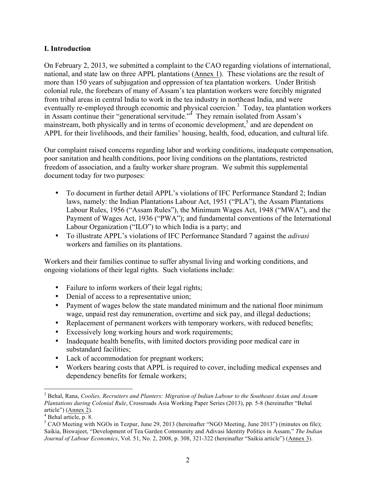### **I. Introduction**

On February 2, 2013, we submitted a complaint to the CAO regarding violations of international, national, and state law on three APPL plantations (Annex 1). These violations are the result of more than 150 years of subjugation and oppression of tea plantation workers. Under British colonial rule, the forebears of many of Assam's tea plantation workers were forcibly migrated from tribal areas in central India to work in the tea industry in northeast India, and were eventually re-employed through economic and physical coercion.<sup>3</sup> Today, tea plantation workers in Assam continue their "generational servitude."<sup>4</sup> They remain isolated from Assam's mainstream, both physically and in terms of economic development, $<sup>5</sup>$  and are dependent on</sup> APPL for their livelihoods, and their families' housing, health, food, education, and cultural life.

Our complaint raised concerns regarding labor and working conditions, inadequate compensation, poor sanitation and health conditions, poor living conditions on the plantations, restricted freedom of association, and a faulty worker share program. We submit this supplemental document today for two purposes:

- To document in further detail APPL's violations of IFC Performance Standard 2; Indian laws, namely: the Indian Plantations Labour Act, 1951 ("PLA"), the Assam Plantations Labour Rules, 1956 ("Assam Rules"), the Minimum Wages Act, 1948 ("MWA"), and the Payment of Wages Act, 1936 ("PWA"); and fundamental conventions of the International Labour Organization ("ILO") to which India is a party; and
- To illustrate APPL's violations of IFC Performance Standard 7 against the *adivasi* workers and families on its plantations.

Workers and their families continue to suffer abysmal living and working conditions, and ongoing violations of their legal rights. Such violations include:

- Failure to inform workers of their legal rights;
- Denial of access to a representative union;
- Payment of wages below the state mandated minimum and the national floor minimum wage, unpaid rest day remuneration, overtime and sick pay, and illegal deductions;
- Replacement of permanent workers with temporary workers, with reduced benefits;
- Excessively long working hours and work requirements;
- Inadequate health benefits, with limited doctors providing poor medical care in substandard facilities;
- Lack of accommodation for pregnant workers;
- Workers bearing costs that APPL is required to cover, including medical expenses and dependency benefits for female workers;

 <sup>3</sup> Behal, Rana, *Coolies, Recruiters and Planters: Migration of Indian Labour to the Southeast Asian and Assam Plantations during Colonial Rule*, Crossroads Asia Working Paper Series (2013), pp. 5-8 (hereinafter "Behal

article") ( $\frac{\text{Annex } 2}{\text{P}}$ .

<sup>&</sup>lt;sup>5</sup> CAO Meeting with NGOs in Tezpur, June 29, 2013 (hereinafter "NGO Meeting, June 2013") (minutes on file); Saikia, Biswajeet, "Development of Tea Garden Community and Adivasi Identity Politics in Assam," *The Indian Journal of Labour Economics*, Vol. 51, No. 2, 2008, p. 308, 321-322 (hereinafter "Saikia article") (Annex 3).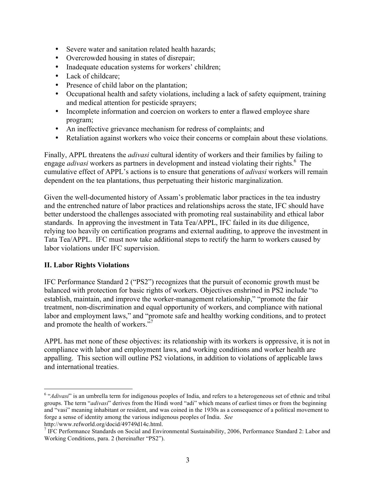- Severe water and sanitation related health hazards;
- Overcrowded housing in states of disrepair;
- Inadequate education systems for workers' children;
- Lack of childcare;
- Presence of child labor on the plantation;
- Occupational health and safety violations, including a lack of safety equipment, training and medical attention for pesticide sprayers;
- Incomplete information and coercion on workers to enter a flawed employee share program;
- An ineffective grievance mechanism for redress of complaints; and
- Retaliation against workers who voice their concerns or complain about these violations.

Finally, APPL threatens the *adivasi* cultural identity of workers and their families by failing to engage *adivasi* workers as partners in development and instead violating their rights.<sup>6</sup> The cumulative effect of APPL's actions is to ensure that generations of *adivasi* workers will remain dependent on the tea plantations, thus perpetuating their historic marginalization.

Given the well-documented history of Assam's problematic labor practices in the tea industry and the entrenched nature of labor practices and relationships across the state, IFC should have better understood the challenges associated with promoting real sustainability and ethical labor standards. In approving the investment in Tata Tea/APPL, IFC failed in its due diligence, relying too heavily on certification programs and external auditing, to approve the investment in Tata Tea/APPL. IFC must now take additional steps to rectify the harm to workers caused by labor violations under IFC supervision.

## **II. Labor Rights Violations**

IFC Performance Standard 2 ("PS2") recognizes that the pursuit of economic growth must be balanced with protection for basic rights of workers. Objectives enshrined in PS2 include "to establish, maintain, and improve the worker-management relationship," "promote the fair treatment, non-discrimination and equal opportunity of workers, and compliance with national labor and employment laws," and "promote safe and healthy working conditions, and to protect and promote the health of workers."7

APPL has met none of these objectives: its relationship with its workers is oppressive, it is not in compliance with labor and employment laws, and working conditions and worker health are appalling. This section will outline PS2 violations, in addition to violations of applicable laws and international treaties.

<sup>&</sup>lt;sup>6</sup> "*Adivasi*" is an umbrella term for indigenous peoples of India, and refers to a heterogeneous set of ethnic and tribal groups. The term "*adivasi*" derives from the Hindi word "adi" which means of earliest times or from the beginning and "vasi" meaning inhabitant or resident, and was coined in the 1930s as a consequence of a political movement to forge a sense of identity among the various indigenous peoples of India. *See* http://www.refworld.org/docid/49749d14c.html.

<sup>&</sup>lt;sup>7</sup> IFC Performance Standards on Social and Environmental Sustainability, 2006, Performance Standard 2: Labor and Working Conditions, para. 2 (hereinafter "PS2").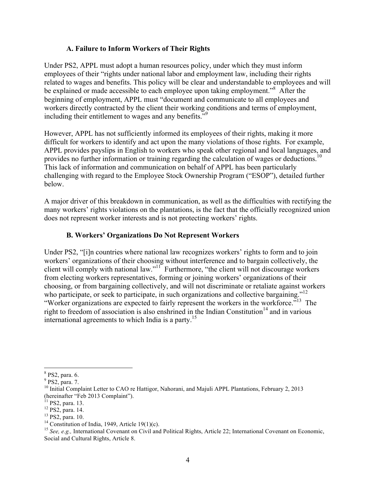### **A. Failure to Inform Workers of Their Rights**

Under PS2, APPL must adopt a human resources policy, under which they must inform employees of their "rights under national labor and employment law, including their rights related to wages and benefits. This policy will be clear and understandable to employees and will be explained or made accessible to each employee upon taking employment."<sup>8</sup> After the beginning of employment, APPL must "document and communicate to all employees and workers directly contracted by the client their working conditions and terms of employment, including their entitlement to wages and any benefits."<sup>9</sup>

However, APPL has not sufficiently informed its employees of their rights, making it more difficult for workers to identify and act upon the many violations of those rights. For example, APPL provides payslips in English to workers who speak other regional and local languages, and provides no further information or training regarding the calculation of wages or deductions.<sup>10</sup> This lack of information and communication on behalf of APPL has been particularly challenging with regard to the Employee Stock Ownership Program ("ESOP"), detailed further below.

A major driver of this breakdown in communication, as well as the difficulties with rectifying the many workers' rights violations on the plantations, is the fact that the officially recognized union does not represent worker interests and is not protecting workers' rights.

## **B. Workers' Organizations Do Not Represent Workers**

Under PS2, "[i]n countries where national law recognizes workers' rights to form and to join workers' organizations of their choosing without interference and to bargain collectively, the client will comply with national law."<sup>11"</sup> Furthermore, "the client will not discourage workers from electing workers representatives, forming or joining workers' organizations of their choosing, or from bargaining collectively, and will not discriminate or retaliate against workers who participate, or seek to participate, in such organizations and collective bargaining."<sup>12</sup> "Worker organizations are expected to fairly represent the workers in the workforce."<sup>13</sup> The right to freedom of association is also enshrined in the Indian Constitution<sup>14</sup> and in various international agreements to which India is a party.<sup>15</sup>

 <sup>8</sup> PS2, para. 6.

<sup>&</sup>lt;sup>9</sup> PS2, para. 7.

<sup>&</sup>lt;sup>10</sup> Initial Complaint Letter to CAO re Hattigor, Nahorani, and Majuli APPL Plantations, February 2, 2013 (hereinafter "Feb 2013 Complaint").<br><sup>11</sup> PS2, para. 13.

<sup>&</sup>lt;sup>12</sup> PS2, para. 14.<br><sup>13</sup> PS2, para. 10.<br><sup>14</sup> Constitution of India, 1949, Article 19(1)(c).<br><sup>14</sup> Constitution of India, 1949, Article 19(1)(c).<br><sup>15</sup> See, e.g., International Covenant on Civil and Political Rights, Article Social and Cultural Rights, Article 8.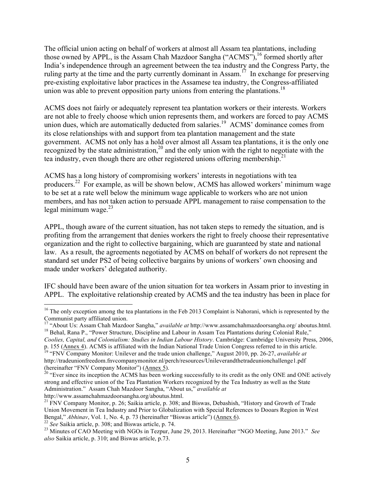The official union acting on behalf of workers at almost all Assam tea plantations, including those owned by APPL, is the Assam Chah Mazdoor Sangha ("ACMS"),<sup>16</sup> formed shortly after India's independence through an agreement between the tea industry and the Congress Party, the ruling party at the time and the party currently dominant in Assam.<sup>17</sup> In exchange for preserving pre-existing exploitative labor practices in the Assamese tea industry, the Congress-affiliated union was able to prevent opposition party unions from entering the plantations.<sup>18</sup>

ACMS does not fairly or adequately represent tea plantation workers or their interests. Workers are not able to freely choose which union represents them, and workers are forced to pay ACMS union dues, which are automatically deducted from salaries.<sup>19</sup> ACMS' dominance comes from its close relationships with and support from tea plantation management and the state government. ACMS not only has a hold over almost all Assam tea plantations, it is the only one recognized by the state administration,  $2^{\circ}$  and the only union with the right to negotiate with the tea industry, even though there are other registered unions offering membership.<sup>21</sup>

ACMS has a long history of compromising workers' interests in negotiations with tea producers. <sup>22</sup> For example, as will be shown below, ACMS has allowed workers' minimum wage to be set at a rate well below the minimum wage applicable to workers who are not union members, and has not taken action to persuade APPL management to raise compensation to the legal minimum wage. $^{23}$ 

APPL, though aware of the current situation, has not taken steps to remedy the situation, and is profiting from the arrangement that denies workers the right to freely choose their representative organization and the right to collective bargaining, which are guaranteed by state and national law. As a result, the agreements negotiated by ACMS on behalf of workers do not represent the standard set under PS2 of being collective bargains by unions of workers' own choosing and made under workers' delegated authority.

IFC should have been aware of the union situation for tea workers in Assam prior to investing in APPL. The exploitative relationship created by ACMS and the tea industry has been in place for

p. 155 (Annex 4). ACMS is affiliated with the Indian National Trade Union Congress referred to in this article. <sup>19</sup> "FNV Company Monitor: Unilever and the trade union challenge," August 2010, pp. 26-27, *available at*

<sup>&</sup>lt;sup>16</sup> The only exception among the tea plantations in the Feb 2013 Complaint is Nahorani, which is represented by the Communist party affiliated union.

<sup>&</sup>lt;sup>17</sup> "About Us: Assam Chah Mazdoor Sangha," *available at* http://www.assamchahmazdoorsangha.org/ aboutus.html.<br><sup>18</sup> Behal, Rana P., "Power Structure, Discipline and Labour in Assam Tea Plantations during Colonial Rule," *Coolies, Capital, and Colonialism: Studies in Indian Labour History*. Cambridge: Cambridge University Press, 2006,

http://tradeunionfreedom.fnvcompanymonitor.nl/perch/resources/Unileverandthetradeunionchallenge1.pdf (hereinafter "FNV Company Monitor") (Annex 5).<br><sup>20</sup> "Ever since its inception the ACMS has been working successfully to its credit as the only ONE and ONE actively

strong and effective union of the Tea Plantation Workers recognized by the Tea Industry as well as the State Administration." Assam Chah Mazdoor Sangha, "About us," *available at*

http://www.assamchahmazdoorsangha.org/aboutus.html.<br><sup>21</sup> FNV Company Monitor, p. 26; Saikia article, p. 308; and Biswas, Debashish, "History and Growth of Trade Union Movement in Tea Industry and Prior to Globalization with Special References to Dooars Region in West Bengal," *Abhinav*, Vol. 1, No. 4, p. 73 (hereinafter "Biswas article") (Annex 6).<br><sup>22</sup> See Saikia article, p. 308; and Biswas article, p. 74.<br><sup>23</sup> Minutes of CAO Meeting with NGOs in Tezpur, June 29, 2013. Hereinafter "NG

*also* Saikia article, p. 310; and Biswas article, p.73.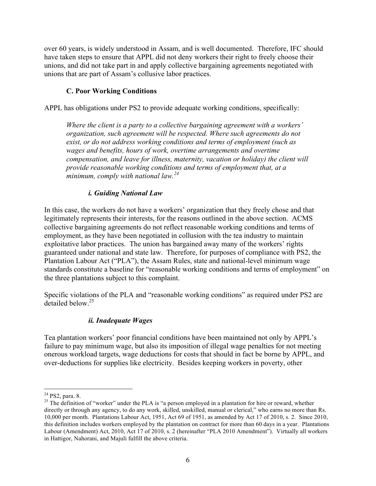over 60 years, is widely understood in Assam, and is well documented. Therefore, IFC should have taken steps to ensure that APPL did not deny workers their right to freely choose their unions, and did not take part in and apply collective bargaining agreements negotiated with unions that are part of Assam's collusive labor practices.

## **C. Poor Working Conditions**

APPL has obligations under PS2 to provide adequate working conditions, specifically:

*Where the client is a party to a collective bargaining agreement with a workers' organization, such agreement will be respected. Where such agreements do not exist, or do not address working conditions and terms of employment (such as wages and benefits, hours of work, overtime arrangements and overtime compensation, and leave for illness, maternity, vacation or holiday) the client will provide reasonable working conditions and terms of employment that, at a minimum, comply with national law.<sup>24</sup>*

### *i. Guiding National Law*

In this case, the workers do not have a workers' organization that they freely chose and that legitimately represents their interests, for the reasons outlined in the above section. ACMS collective bargaining agreements do not reflect reasonable working conditions and terms of employment, as they have been negotiated in collusion with the tea industry to maintain exploitative labor practices. The union has bargained away many of the workers' rights guaranteed under national and state law. Therefore, for purposes of compliance with PS2, the Plantation Labour Act ("PLA"), the Assam Rules, state and national-level minimum wage standards constitute a baseline for "reasonable working conditions and terms of employment" on the three plantations subject to this complaint.

Specific violations of the PLA and "reasonable working conditions" as required under PS2 are detailed below.25

## *ii. Inadequate Wages*

Tea plantation workers' poor financial conditions have been maintained not only by APPL's failure to pay minimum wage, but also its imposition of illegal wage penalties for not meeting onerous workload targets, wage deductions for costs that should in fact be borne by APPL, and over-deductions for supplies like electricity. Besides keeping workers in poverty, other

<sup>&</sup>lt;sup>24</sup> PS2, para. 8.<br><sup>25</sup> The definition of "worker" under the PLA is "a person employed in a plantation for hire or reward, whether directly or through any agency, to do any work, skilled, unskilled, manual or clerical," who earns no more than Rs. 10,000 per month. Plantations Labour Act, 1951, Act 69 of 1951, as amended by Act 17 of 2010, s. 2. Since 2010, this definition includes workers employed by the plantation on contract for more than 60 days in a year. Plantations Labour (Amendment) Act, 2010, Act 17 of 2010, s. 2 (hereinafter "PLA 2010 Amendment"). Virtually all workers in Hattigor, Nahorani, and Majuli fulfill the above criteria.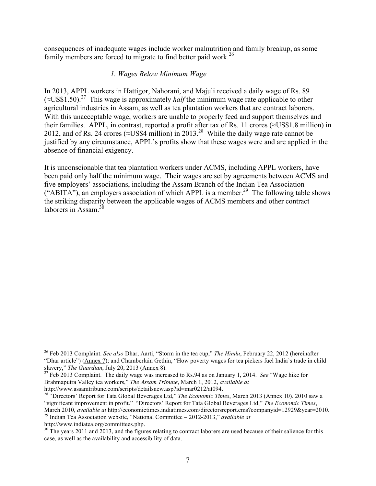consequences of inadequate wages include worker malnutrition and family breakup, as some family members are forced to migrate to find better paid work.<sup>26</sup>

### *1. Wages Below Minimum Wage*

In 2013, APPL workers in Hattigor, Nahorani, and Majuli received a daily wage of Rs. 89  $(\approx USS1.50)^{27}$  This wage is approximately *half* the minimum wage rate applicable to other agricultural industries in Assam, as well as tea plantation workers that are contract laborers. With this unacceptable wage, workers are unable to properly feed and support themselves and their families. APPL, in contrast, reported a profit after tax of Rs. 11 crores (≈US\$1.8 million) in 2012, and of Rs. 24 crores ( $\approx$ US\$4 million) in 2013.<sup>28</sup> While the daily wage rate cannot be justified by any circumstance, APPL's profits show that these wages were and are applied in the absence of financial exigency.

It is unconscionable that tea plantation workers under ACMS, including APPL workers, have been paid only half the minimum wage. Their wages are set by agreements between ACMS and five employers' associations, including the Assam Branch of the Indian Tea Association ("ABITA"), an employers association of which APPL is a member.<sup>29</sup> The following table shows the striking disparity between the applicable wages of ACMS members and other contract laborers in Assam.<sup>30</sup>

 <sup>26</sup> Feb 2013 Complaint. *See also* Dhar, Aarti, "Storm in the tea cup," *The Hindu*, February 22, 2012 (hereinafter "Dhar article") (Annex 7); and Chamberlain Gethin, "How poverty wages for tea pickers fuel India's trade in child slavery," *The Guardian*, July 20, 2013 (Annex 8). <sup>27</sup> Feb 2013 Complaint. The daily wage was increased to Rs.94 as on January 1, 2014. *See* "Wage hike for

Brahmaputra Valley tea workers," *The Assam Tribune*, March 1, 2012, *available at*

http://www.assamtribune.com/scripts/detailsnew.asp?id=mar0212/at094. <sup>28</sup> "Directors' Report for Tata Global Beverages Ltd," *The Economic Times*, March 2013 (Annex 10). 2010 saw a "significant improvement in profit." "Directors' Report for Tata Global Beverages Ltd," *The Economic Times*, March 2010, *available at* http://economictimes.indiatimes.com/directorsreport.cms?companyid=12929&year=2010.<br><sup>29</sup> Indian Tea Association website, "National Committee – 2012-2013," *available at*<br>http://www.indiatea.org/co

 $h_0$ <sup>30</sup> The years 2011 and 2013, and the figures relating to contract laborers are used because of their salience for this case, as well as the availability and accessibility of data.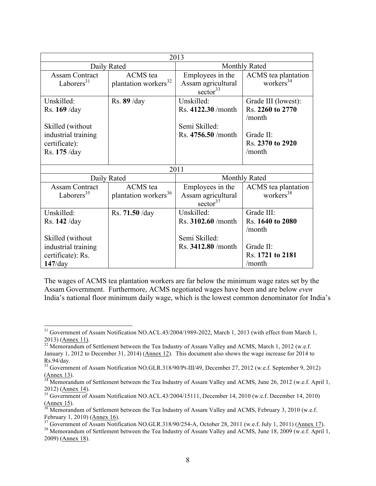| 2013                                                                                                     |                                                     |                                                                          |                                                                                              |
|----------------------------------------------------------------------------------------------------------|-----------------------------------------------------|--------------------------------------------------------------------------|----------------------------------------------------------------------------------------------|
| Daily Rated                                                                                              |                                                     | <b>Monthly Rated</b>                                                     |                                                                                              |
| <b>Assam Contract</b><br>Laborers $31$                                                                   | <b>ACMS</b> tea<br>plantation workers <sup>32</sup> | Employees in the<br>Assam agricultural<br>sector $33$                    | ACMS tea plantation<br>workers $34$                                                          |
| Unskilled:<br>Rs. 169 / day<br>Skilled (without<br>industrial training<br>certificate):<br>Rs. 175 /day  | Rs. 89 / day                                        | Unskilled:<br>Rs. 4122.30 /month<br>Semi Skilled:<br>Rs. 4756.50 / month | Grade III (lowest):<br>Rs. 2260 to 2770<br>/month<br>Grade II:<br>Rs. 2370 to 2920<br>/month |
| 2011                                                                                                     |                                                     |                                                                          |                                                                                              |
| Daily Rated                                                                                              |                                                     | Monthly Rated                                                            |                                                                                              |
| <b>Assam Contract</b><br>Laborers <sup>35</sup>                                                          | <b>ACMS</b> tea<br>plantation workers <sup>36</sup> | Employees in the<br>Assam agricultural<br>sector $37$                    | ACMS tea plantation<br>workers <sup>38</sup>                                                 |
| Unskilled:<br>Rs. 142 /day<br>Skilled (without<br>industrial training<br>certificate): Rs.<br>$147$ /day | Rs. 71.50 / day                                     | Unskilled:<br>Rs. 3102.60 /month<br>Semi Skilled:<br>Rs. 3412.80 / month | Grade III:<br>Rs. 1640 to 2080<br>/month<br>Grade II:<br>Rs. 1721 to 2181<br>/month          |

The wages of ACMS tea plantation workers are far below the minimum wage rates set by the Assam Government. Furthermore, ACMS negotiated wages have been and are below *even* India's national floor minimum daily wage, which is the lowest common denominator for India's

<sup>&</sup>lt;sup>31</sup> Government of Assam Notification NO.ACL.43/2004/1989-2022, March 1, 2013 (with effect from March 1, 2013) (Annex 11).<br><sup>32</sup> Memorandum of Settlement between the Tea Industry of Assam Valley and ACMS, March 1, 2012 (w.e.f.

January 1, 2012 to December 31, 2014) (Annex 12). This document also shows the wage increase for 2014 to Rs.94/day.

<sup>&</sup>lt;sup>33</sup> Government of Assam Notification NO.GLR.318/90/Pt-III/49, December 27, 2012 (w.e.f. September 9, 2012)

<sup>(</sup>Annex 13).<br><sup>34</sup> Memorandum of Settlement between the Tea Industry of Assam Valley and ACMS, June 26, 2012 (w.e.f. April 1, 2012) ( $\Delta$ nnex 14).<br><sup>35</sup> Government of Assam Notification NO.ACL.43/2004/15111, December 14, 2010 (w.e.f. December 14, 2010)

<sup>(</sup>Annex 15).  $^{36}$  Memorandum of Settlement between the Tea Industry of Assam Valley and ACMS, February 3, 2010 (w.e.f. February 1, 2010) (Annex 16).

<sup>&</sup>lt;sup>37</sup> Government of Assam Notification NO.GLR.318/90/254-A, October 28, 2011 (w.e.f. July 1, 2011) (Annex 17).<br><sup>38</sup> Memorandum of Settlement between the Tea Industry of Assam Valley and ACMS, June 18, 2009 (w.e.f. April 1,

<sup>2009)</sup> (Annex 18).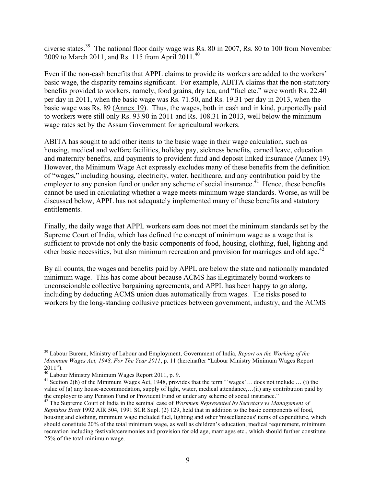diverse states.<sup>39</sup> The national floor daily wage was Rs. 80 in 2007, Rs. 80 to 100 from November 2009 to March 2011, and Rs. 115 from April 2011.<sup>40</sup>

Even if the non-cash benefits that APPL claims to provide its workers are added to the workers' basic wage, the disparity remains significant. For example, ABITA claims that the non-statutory benefits provided to workers, namely, food grains, dry tea, and "fuel etc." were worth Rs. 22.40 per day in 2011, when the basic wage was Rs. 71.50, and Rs. 19.31 per day in 2013, when the basic wage was Rs. 89 (Annex 19). Thus, the wages, both in cash and in kind, purportedly paid to workers were still only Rs. 93.90 in 2011 and Rs. 108.31 in 2013, well below the minimum wage rates set by the Assam Government for agricultural workers.

ABITA has sought to add other items to the basic wage in their wage calculation, such as housing, medical and welfare facilities, holiday pay, sickness benefits, earned leave, education and maternity benefits, and payments to provident fund and deposit linked insurance (Annex 19). However, the Minimum Wage Act expressly excludes many of these benefits from the definition of "wages," including housing, electricity, water, healthcare, and any contribution paid by the employer to any pension fund or under any scheme of social insurance.<sup>41</sup> Hence, these benefits cannot be used in calculating whether a wage meets minimum wage standards. Worse, as will be discussed below, APPL has not adequately implemented many of these benefits and statutory entitlements.

Finally, the daily wage that APPL workers earn does not meet the minimum standards set by the Supreme Court of India, which has defined the concept of minimum wage as a wage that is sufficient to provide not only the basic components of food, housing, clothing, fuel, lighting and other basic necessities, but also minimum recreation and provision for marriages and old age.<sup>42</sup>

By all counts, the wages and benefits paid by APPL are below the state and nationally mandated minimum wage. This has come about because ACMS has illegitimately bound workers to unconscionable collective bargaining agreements, and APPL has been happy to go along, including by deducting ACMS union dues automatically from wages. The risks posed to workers by the long-standing collusive practices between government, industry, and the ACMS

 <sup>39</sup> Labour Bureau, Ministry of Labour and Employment, Government of India, *Report on the Working of the Minimum Wages Act, 1948, For The Year 2011*, p. 11 (hereinafter "Labour Ministry Minimum Wages Report 2011").<br><sup>40</sup> Labour Ministry Minimum Wages Report 2011, p. 9.

<sup>&</sup>lt;sup>41</sup> Section 2(h) of the Minimum Wages Act, 1948, provides that the term "'wages'... does not include ... (i) the value of (a) any house-accommodation, supply of light, water, medical attendance,…(ii) any contribution paid by the employer to any Pension Fund or Provident Fund or under any scheme of social insurance."

<sup>42</sup> The Supreme Court of India in the seminal case of *Workmen Represented by Secretary vs Management of Reptakos Brett* 1992 AIR 504, 1991 SCR Supl. (2) 129, held that in addition to the basic components of food, housing and clothing, minimum wage included fuel, lighting and other 'miscellaneous' items of expenditure, which should constitute 20% of the total minimum wage, as well as children's education, medical requirement, minimum recreation including festivals/ceremonies and provision for old age, marriages etc., which should further constitute 25% of the total minimum wage.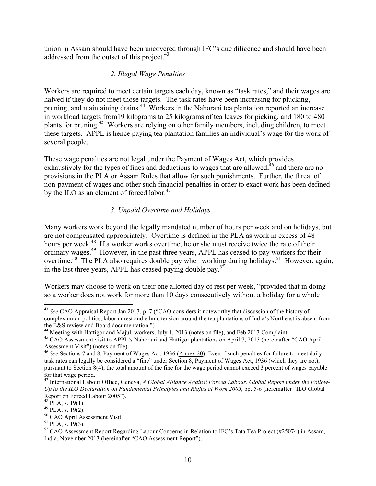union in Assam should have been uncovered through IFC's due diligence and should have been addressed from the outset of this project.<sup>43</sup>

## *2. Illegal Wage Penalties*

Workers are required to meet certain targets each day, known as "task rates," and their wages are halved if they do not meet those targets. The task rates have been increasing for plucking, pruning, and maintaining drains.44 Workers in the Nahorani tea plantation reported an increase in workload targets from19 kilograms to 25 kilograms of tea leaves for picking, and 180 to 480 plants for pruning.<sup>45</sup> Workers are relying on other family members, including children, to meet these targets. APPL is hence paying tea plantation families an individual's wage for the work of several people.

These wage penalties are not legal under the Payment of Wages Act, which provides exhaustively for the types of fines and deductions to wages that are allowed,<sup>46</sup> and there are no provisions in the PLA or Assam Rules that allow for such punishments. Further, the threat of non-payment of wages and other such financial penalties in order to exact work has been defined by the ILO as an element of forced labor.<sup>47</sup>

## *3. Unpaid Overtime and Holidays*

Many workers work beyond the legally mandated number of hours per week and on holidays, but are not compensated appropriately. Overtime is defined in the PLA as work in excess of 48 hours per week.<sup>48</sup> If a worker works overtime, he or she must receive twice the rate of their ordinary wages.<sup>49</sup> However, in the past three years, APPL has ceased to pay workers for their overtime.<sup>50</sup> The PLA also requires double pay when working during holidays.<sup>51</sup> However, again, in the last three years, APPL has ceased paying double pay.<sup>52</sup>

Workers may choose to work on their one allotted day of rest per week, "provided that in doing so a worker does not work for more than 10 days consecutively without a holiday for a whole

 <sup>43</sup> *See* CAO Appraisal Report Jan 2013, p. 7 ("CAO considers it noteworthy that discussion of the history of complex union politics, labor unrest and ethnic tension around the tea plantations of India's Northeast is absent from the E&S review and Board documentation.")<br><sup>44</sup> Meeting with Hattigor and Majuli workers, July 1, 2013 (notes on file), and Feb 2013 Complaint.<br><sup>45</sup> CAO Assessment visit to APPL's Nahorani and Hattigor plantations on April

Assessment Visit") (notes on file).

<sup>&</sup>lt;sup>46</sup> See Sections 7 and 8, Payment of Wages Act, 1936 (Annex 20). Even if such penalties for failure to meet daily task rates can legally be considered a "fine" under Section 8, Payment of Wages Act, 1936 (which they are not), pursuant to Section 8(4), the total amount of the fine for the wage period cannot exceed 3 percent of wages payable for that wage period.

<sup>47</sup> International Labour Office, Geneva, *A Global Alliance Against Forced Labour. Global Report under the Follow-Up to the ILO Declaration on Fundamental Principles and Rights at Work 2005*, pp. 5-6 (hereinafter "ILO Global Report on Forced Labour 2005").<br><sup>48</sup> PLA, s. 19(1).

<sup>&</sup>lt;sup>49</sup> PLA, s. 19(2).<br><sup>50</sup> CAO April Assessment Visit.<br><sup>51</sup> PLA, s. 19(3).<br><sup>52</sup> CAO Assessment Report Regarding Labour Concerns in Relation to IFC's Tata Tea Project (#25074) in Assam, India, November 2013 (hereinafter "CAO Assessment Report").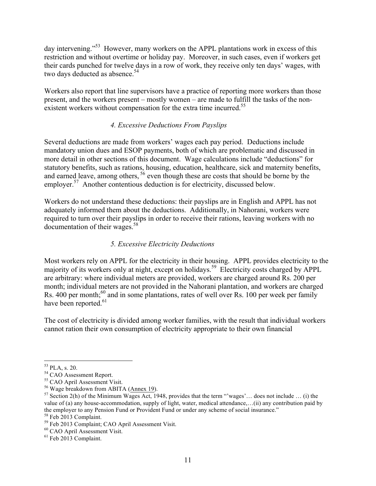day intervening."<sup>53</sup> However, many workers on the APPL plantations work in excess of this restriction and without overtime or holiday pay. Moreover, in such cases, even if workers get their cards punched for twelve days in a row of work, they receive only ten days' wages, with two days deducted as absence.<sup>54</sup>

Workers also report that line supervisors have a practice of reporting more workers than those present, and the workers present – mostly women – are made to fulfill the tasks of the nonexistent workers without compensation for the extra time incurred.<sup>55</sup>

## *4. Excessive Deductions From Payslips*

Several deductions are made from workers' wages each pay period. Deductions include mandatory union dues and ESOP payments, both of which are problematic and discussed in more detail in other sections of this document. Wage calculations include "deductions" for statutory benefits, such as rations, housing, education, healthcare, sick and maternity benefits, and earned leave, among others, <sup>56</sup> even though these are costs that should be borne by the employer.<sup>57</sup> Another contentious deduction is for electricity, discussed below.

Workers do not understand these deductions: their payslips are in English and APPL has not adequately informed them about the deductions. Additionally, in Nahorani, workers were required to turn over their payslips in order to receive their rations, leaving workers with no documentation of their wages.58

### *5. Excessive Electricity Deductions*

Most workers rely on APPL for the electricity in their housing. APPL provides electricity to the majority of its workers only at night, except on holidays. <sup>59</sup> Electricity costs charged by APPL are arbitrary: where individual meters are provided, workers are charged around Rs. 200 per month; individual meters are not provided in the Nahorani plantation, and workers are charged Rs. 400 per month;<sup>60</sup> and in some plantations, rates of well over Rs. 100 per week per family have been reported.<sup>61</sup>

The cost of electricity is divided among worker families, with the result that individual workers cannot ration their own consumption of electricity appropriate to their own financial

<sup>&</sup>lt;sup>53</sup> PLA, s. 20.<br><sup>54</sup> CAO Assessment Report.<br><sup>55</sup> CAO April Assessment Visit.<br><sup>55</sup> Wage breakdown from ABITA (Annex 19).<br><sup>57</sup> Section 2(h) of the Minimum Wages Act, 1948, provides that the term "'wages'... does not includ value of (a) any house-accommodation, supply of light, water, medical attendance,…(ii) any contribution paid by the employer to any Pension Fund or Provident Fund or under any scheme of social insurance."

<sup>&</sup>lt;sup>58</sup> Feb 2013 Complaint.<br><sup>59</sup> Feb 2013 Complaint; CAO April Assessment Visit.<br><sup>60</sup> CAO April Assessment Visit.<br><sup>61</sup> Feb 2013 Complaint.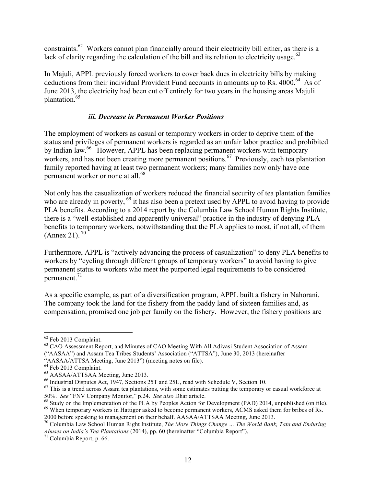constraints.62 Workers cannot plan financially around their electricity bill either, as there is a lack of clarity regarding the calculation of the bill and its relation to electricity usage. $63$ 

In Majuli, APPL previously forced workers to cover back dues in electricity bills by making deductions from their individual Provident Fund accounts in amounts up to Rs. 4000.<sup>64</sup> As of June 2013, the electricity had been cut off entirely for two years in the housing areas Majuli plantation. 65

## *iii. Decrease in Permanent Worker Positions*

The employment of workers as casual or temporary workers in order to deprive them of the status and privileges of permanent workers is regarded as an unfair labor practice and prohibited by Indian law.<sup>66</sup> However, APPL has been replacing permanent workers with temporary workers, and has not been creating more permanent positions.<sup>67</sup> Previously, each tea plantation family reported having at least two permanent workers; many families now only have one permanent worker or none at all.<sup>68</sup>

Not only has the casualization of workers reduced the financial security of tea plantation families who are already in poverty, <sup>69</sup> it has also been a pretext used by APPL to avoid having to provide PLA benefits. According to a 2014 report by the Columbia Law School Human Rights Institute, there is a "well-established and apparently universal" practice in the industry of denying PLA benefits to temporary workers, notwithstanding that the PLA applies to most, if not all, of them  $(An$ nex 21).<sup>70</sup>

Furthermore, APPL is "actively advancing the process of casualization" to deny PLA benefits to workers by "cycling through different groups of temporary workers" to avoid having to give permanent status to workers who meet the purported legal requirements to be considered permanent.<sup>71</sup>

As a specific example, as part of a diversification program, APPL built a fishery in Nahorani. The company took the land for the fishery from the paddy land of sixteen families and, as compensation, promised one job per family on the fishery. However, the fishery positions are

2000 before speaking to management on their behalf. AASAA/ATTSAA Meeting, June 2013.

 $62$  Feb 2013 Complaint.<br> $63$  CAO Assessment Report, and Minutes of CAO Meeting With All Adivasi Student Association of Assam ("AASAA") and Assam Tea Tribes Students' Association ("ATTSA"), June 30, 2013 (hereinafter

<sup>&</sup>quot;AASAA/ATTSA Meeting, June 2013") (meeting notes on file).<br>
<sup>64</sup> Feb 2013 Complaint.<br>
<sup>65</sup> AASAA/ATTSAA Meeting, June 2013.<br>
<sup>66</sup> Industrial Disputes Act, 1947, Sections 25T and 25U, read with Schedule V, Section 10.<br>
<sup>67</sup>

 $^{68}$  Study on the Implementation of the PLA by Peoples Action for Development (PAD) 2014, unpublished (on file).<br><sup>69</sup> When temporary workers in Hattigor asked to become permanent workers, ACMS asked them for bribes of R

<sup>70</sup> Columbia Law School Human Right Institute, *The More Things Change … The World Bank, Tata and Enduring Abuses on India's Tea Plantations* (2014), pp. 60 (hereinafter "Columbia Report").<br><sup>71</sup> Columbia Report, p. 66.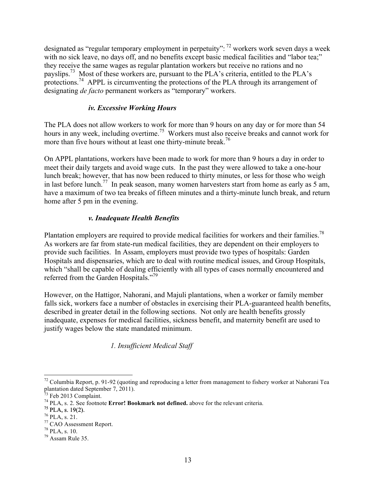designated as "regular temporary employment in perpetuity": <sup>72</sup> workers work seven days a week with no sick leave, no days off, and no benefits except basic medical facilities and "labor tea;" they receive the same wages as regular plantation workers but receive no rations and no payslips.<sup>73</sup> Most of these workers are, pursuant to the PLA's criteria, entitled to the PLA's protections.<sup>74</sup> APPL is circumventing the protections of the PLA through its arrangement of designating *de facto* permanent workers as "temporary" workers.

## *iv. Excessive Working Hours*

The PLA does not allow workers to work for more than 9 hours on any day or for more than 54 hours in any week, including overtime.<sup>75</sup> Workers must also receive breaks and cannot work for more than five hours without at least one thirty-minute break.<sup>76</sup>

On APPL plantations, workers have been made to work for more than 9 hours a day in order to meet their daily targets and avoid wage cuts. In the past they were allowed to take a one-hour lunch break; however, that has now been reduced to thirty minutes, or less for those who weigh in last before lunch.<sup>77</sup> In peak season, many women harvesters start from home as early as 5 am, have a maximum of two tea breaks of fifteen minutes and a thirty-minute lunch break, and return home after 5 pm in the evening.

## *v. Inadequate Health Benefits*

Plantation employers are required to provide medical facilities for workers and their families.<sup>78</sup> As workers are far from state-run medical facilities, they are dependent on their employers to provide such facilities. In Assam, employers must provide two types of hospitals: Garden Hospitals and dispensaries, which are to deal with routine medical issues, and Group Hospitals, which "shall be capable of dealing efficiently with all types of cases normally encountered and referred from the Garden Hospitals."<sup>79</sup>

However, on the Hattigor, Nahorani, and Majuli plantations, when a worker or family member falls sick, workers face a number of obstacles in exercising their PLA-guaranteed health benefits, described in greater detail in the following sections. Not only are health benefits grossly inadequate, expenses for medical facilities, sickness benefit, and maternity benefit are used to justify wages below the state mandated minimum.

*1. Insufficient Medical Staff*

 $72$  Columbia Report, p. 91-92 (quoting and reproducing a letter from management to fishery worker at Nahorani Tea plantation dated September 7, 2011).<br> $^{73}$  Feb 2013 Complaint.

<sup>&</sup>lt;sup>74</sup> PLA, s. 2. See footnote **Error! Bookmark not defined.** above for the relevant criteria. <sup>75</sup> PLA, s. 21. <sup>76</sup> PLA, s. 21. <sup>77</sup> CAO Assessment Report. <sup>78</sup> PLA, s. 10. <sup>79</sup> Assam Rule 35.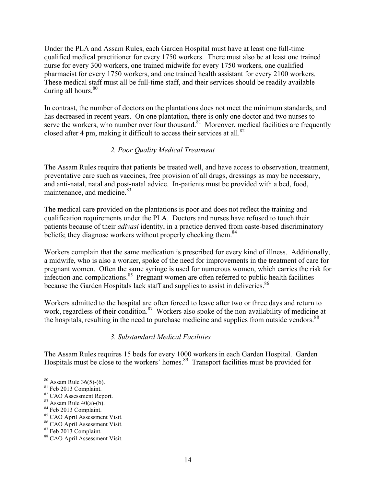Under the PLA and Assam Rules, each Garden Hospital must have at least one full-time qualified medical practitioner for every 1750 workers. There must also be at least one trained nurse for every 300 workers, one trained midwife for every 1750 workers, one qualified pharmacist for every 1750 workers, and one trained health assistant for every 2100 workers. These medical staff must all be full-time staff, and their services should be readily available during all hours. $80$ 

In contrast, the number of doctors on the plantations does not meet the minimum standards, and has decreased in recent years. On one plantation, there is only one doctor and two nurses to serve the workers, who number over four thousand.<sup>81</sup> Moreover, medical facilities are frequently closed after 4 pm, making it difficult to access their services at all. $82$ 

## *2. Poor Quality Medical Treatment*

The Assam Rules require that patients be treated well, and have access to observation, treatment, preventative care such as vaccines, free provision of all drugs, dressings as may be necessary, and anti-natal, natal and post-natal advice. In-patients must be provided with a bed, food, maintenance, and medicine.<sup>83</sup>

The medical care provided on the plantations is poor and does not reflect the training and qualification requirements under the PLA. Doctors and nurses have refused to touch their patients because of their *adivasi* identity, in a practice derived from caste-based discriminatory beliefs; they diagnose workers without properly checking them.<sup>84</sup>

Workers complain that the same medication is prescribed for every kind of illness. Additionally, a midwife, who is also a worker, spoke of the need for improvements in the treatment of care for pregnant women. Often the same syringe is used for numerous women, which carries the risk for infection and complications.<sup>85</sup> Pregnant women are often referred to public health facilities because the Garden Hospitals lack staff and supplies to assist in deliveries.<sup>86</sup>

Workers admitted to the hospital are often forced to leave after two or three days and return to work, regardless of their condition.<sup>87</sup> Workers also spoke of the non-availability of medicine at the hospitals, resulting in the need to purchase medicine and supplies from outside vendors.<sup>88</sup>

## *3. Substandard Medical Facilities*

The Assam Rules requires 15 beds for every 1000 workers in each Garden Hospital. Garden Hospitals must be close to the workers' homes.89 Transport facilities must be provided for

<sup>&</sup>lt;sup>80</sup> Assam Rule 36(5)-(6).<br><sup>81</sup> Feb 2013 Complaint.<br><sup>82</sup> CAO Assessment Report.<br><sup>82</sup> Assam Rule 40(a)-(b).<br><sup>83</sup> Assam Rule 40(a)-(b).<br><sup>85</sup> CAO April Assessment Visit.<br><sup>87</sup> Feb 2013 Complaint.<br><sup>87</sup> Feb 2013 Complaint.<br><sup>87</sup>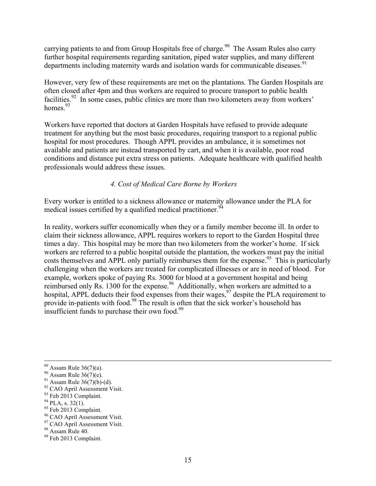carrying patients to and from Group Hospitals free of charge.<sup>90</sup> The Assam Rules also carry further hospital requirements regarding sanitation, piped water supplies, and many different departments including maternity wards and isolation wards for communicable diseases.<sup>91</sup>

However, very few of these requirements are met on the plantations. The Garden Hospitals are often closed after 4pm and thus workers are required to procure transport to public health facilities.<sup>92</sup> In some cases, public clinics are more than two kilometers away from workers' homes  $93$ 

Workers have reported that doctors at Garden Hospitals have refused to provide adequate treatment for anything but the most basic procedures, requiring transport to a regional public hospital for most procedures. Though APPL provides an ambulance, it is sometimes not available and patients are instead transported by cart, and when it is available, poor road conditions and distance put extra stress on patients. Adequate healthcare with qualified health professionals would address these issues.

### *4. Cost of Medical Care Borne by Workers*

Every worker is entitled to a sickness allowance or maternity allowance under the PLA for medical issues certified by a qualified medical practitioner.<sup>94</sup>

In reality, workers suffer economically when they or a family member become ill. In order to claim their sickness allowance, APPL requires workers to report to the Garden Hospital three times a day. This hospital may be more than two kilometers from the worker's home. If sick workers are referred to a public hospital outside the plantation, the workers must pay the initial costs themselves and APPL only partially reimburses them for the expense.<sup>95</sup> This is particularly challenging when the workers are treated for complicated illnesses or are in need of blood. For example, workers spoke of paying Rs. 3000 for blood at a government hospital and being reimbursed only Rs. 1300 for the expense.<sup>96</sup> Additionally, when workers are admitted to a hospital, APPL deducts their food expenses from their wages,<sup>97</sup> despite the PLA requirement to provide in-patients with food.98 The result is often that the sick worker's household has insufficient funds to purchase their own food.<sup>99</sup>

<sup>&</sup>lt;sup>89</sup> Assam Rule 36(7)(a).<br><sup>91</sup> Assam Rule 36(7)(e).<br><sup>91</sup> Assam Rule 36(7)(b)-(d).<br><sup>92</sup> CAO April Assessment Visit.<br><sup>93</sup> Feb 2013 Complaint.<br><sup>94</sup> PLA, s. 32(1).<br><sup>95</sup> CAO April Assessment Visit.<br><sup>96</sup> CAO April Assessment Vi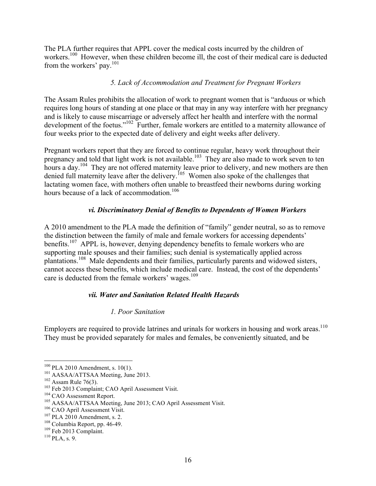The PLA further requires that APPL cover the medical costs incurred by the children of workers.<sup>100</sup> However, when these children become ill, the cost of their medical care is deducted from the workers' pay.101

## *5. Lack of Accommodation and Treatment for Pregnant Workers*

The Assam Rules prohibits the allocation of work to pregnant women that is "arduous or which requires long hours of standing at one place or that may in any way interfere with her pregnancy and is likely to cause miscarriage or adversely affect her health and interfere with the normal development of the foetus."102 Further, female workers are entitled to a maternity allowance of four weeks prior to the expected date of delivery and eight weeks after delivery.

Pregnant workers report that they are forced to continue regular, heavy work throughout their pregnancy and told that light work is not available.<sup>103</sup> They are also made to work seven to ten hours a day.<sup>104</sup> They are not offered maternity leave prior to delivery, and new mothers are then denied full maternity leave after the delivery.<sup>105</sup> Women also spoke of the challenges that lactating women face, with mothers often unable to breastfeed their newborns during working hours because of a lack of accommodation  $106$ 

## *vi. Discriminatory Denial of Benefits to Dependents of Women Workers*

A 2010 amendment to the PLA made the definition of "family" gender neutral, so as to remove the distinction between the family of male and female workers for accessing dependents' benefits.<sup>107</sup> APPL is, however, denying dependency benefits to female workers who are supporting male spouses and their families; such denial is systematically applied across plantations.108 Male dependents and their families, particularly parents and widowed sisters, cannot access these benefits, which include medical care. Instead, the cost of the dependents' care is deducted from the female workers' wages.<sup>109</sup>

## *vii. Water and Sanitation Related Health Hazards*

## *1. Poor Sanitation*

Employers are required to provide latrines and urinals for workers in housing and work areas. $^{110}$ They must be provided separately for males and females, be conveniently situated, and be

<sup>&</sup>lt;sup>100</sup> PLA 2010 Amendment, s. 10(1).<br><sup>101</sup> AASAA/ATTSAA Meeting, June 2013.<br><sup>102</sup> Assam Rule 76(3).<br><sup>103</sup> Feb 2013 Complaint; CAO April Assessment Visit.<br><sup>104</sup> CAO Assessment Report.<br><sup>105</sup> AASAA/ATTSAA Meeting, June 2013;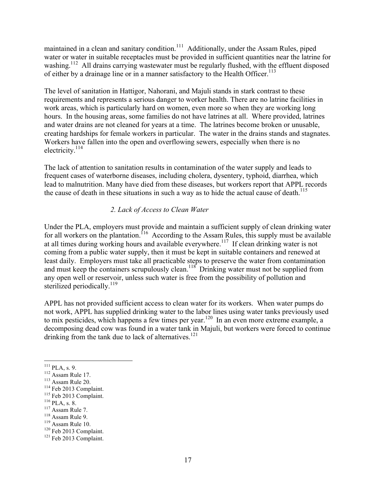maintained in a clean and sanitary condition.<sup>111</sup> Additionally, under the Assam Rules, piped water or water in suitable receptacles must be provided in sufficient quantities near the latrine for washing.<sup>112</sup> All drains carrying wastewater must be regularly flushed, with the effluent disposed of either by a drainage line or in a manner satisfactory to the Health Officer.<sup>113</sup>

The level of sanitation in Hattigor, Nahorani, and Majuli stands in stark contrast to these requirements and represents a serious danger to worker health. There are no latrine facilities in work areas, which is particularly hard on women, even more so when they are working long hours. In the housing areas, some families do not have latrines at all. Where provided, latrines and water drains are not cleaned for years at a time. The latrines become broken or unusable, creating hardships for female workers in particular. The water in the drains stands and stagnates. Workers have fallen into the open and overflowing sewers, especially when there is no electricity.<sup>114</sup>

The lack of attention to sanitation results in contamination of the water supply and leads to frequent cases of waterborne diseases, including cholera, dysentery, typhoid, diarrhea, which lead to malnutrition. Many have died from these diseases, but workers report that APPL records the cause of death in these situations in such a way as to hide the actual cause of death.<sup>115</sup>

## *2. Lack of Access to Clean Water*

Under the PLA, employers must provide and maintain a sufficient supply of clean drinking water for all workers on the plantation.<sup>116</sup> According to the Assam Rules, this supply must be available at all times during working hours and available everywhere.<sup>117</sup> If clean drinking water is not coming from a public water supply, then it must be kept in suitable containers and renewed at least daily. Employers must take all practicable steps to preserve the water from contamination and must keep the containers scrupulously clean.<sup>118</sup> Drinking water must not be supplied from any open well or reservoir, unless such water is free from the possibility of pollution and sterilized periodically.<sup>119</sup>

APPL has not provided sufficient access to clean water for its workers. When water pumps do not work, APPL has supplied drinking water to the labor lines using water tanks previously used to mix pesticides, which happens a few times per year.<sup>120</sup> In an even more extreme example, a decomposing dead cow was found in a water tank in Majuli, but workers were forced to continue drinking from the tank due to lack of alternatives.<sup>121</sup>

<sup>111</sup> PLA, s. 9.<br>
<sup>112</sup> Assam Rule 17.<br>
<sup>113</sup> Assam Rule 20.<br>
<sup>115</sup> Feb 2013 Complaint.<br>
<sup>116</sup> PLA, s. 8.<br>
<sup>117</sup> Assam Rule 7.<br>
<sup>118</sup> Assam Rule 9.<br>
<sup>119</sup> Assam Rule 10.<br>
<sup>120</sup> Feb 2013 Complaint.<br><sup>121</sup> Feb 2013 Complaint.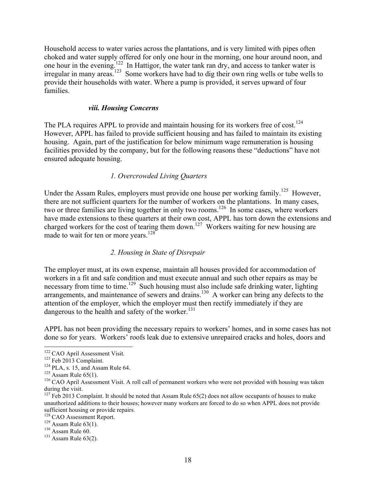Household access to water varies across the plantations, and is very limited with pipes often choked and water supply offered for only one hour in the morning, one hour around noon, and one hour in the evening.<sup>122</sup> In Hattigor, the water tank ran dry, and access to tanker water is irregular in many areas.<sup>123</sup> Some workers have had to dig their own ring wells or tube wells to provide their households with water. Where a pump is provided, it serves upward of four families.

#### *viii. Housing Concerns*

The PLA requires APPL to provide and maintain housing for its workers free of  $cost$ .<sup>124</sup> However, APPL has failed to provide sufficient housing and has failed to maintain its existing housing. Again, part of the justification for below minimum wage remuneration is housing facilities provided by the company, but for the following reasons these "deductions" have not ensured adequate housing.

### *1. Overcrowded Living Quarters*

Under the Assam Rules, employers must provide one house per working family.<sup>125</sup> However, there are not sufficient quarters for the number of workers on the plantations. In many cases, two or three families are living together in only two rooms.<sup>126</sup> In some cases, where workers have made extensions to these quarters at their own cost, APPL has torn down the extensions and charged workers for the cost of tearing them down.<sup>127</sup> Workers waiting for new housing are made to wait for ten or more years. $128$ 

#### *2. Housing in State of Disrepair*

The employer must, at its own expense, maintain all houses provided for accommodation of workers in a fit and safe condition and must execute annual and such other repairs as may be necessary from time to time.<sup>129</sup> Such housing must also include safe drinking water, lighting arrangements, and maintenance of sewers and drains.<sup>130</sup> A worker can bring any defects to the attention of the employer, which the employer must then rectify immediately if they are dangerous to the health and safety of the worker.<sup>131</sup>

APPL has not been providing the necessary repairs to workers' homes, and in some cases has not done so for years. Workers' roofs leak due to extensive unrepaired cracks and holes, doors and

<sup>&</sup>lt;sup>122</sup> CAO April Assessment Visit.<br>
<sup>123</sup> Feb 2013 Complaint.<br>
<sup>124</sup> PLA, s. 15, and Assam Rule 64.<br>
<sup>126</sup> Assam Rule 65(1).<br>
<sup>126</sup> CAO April Assessment Visit. A roll call of permanent workers who were not provided with ho during the visit.

 $127$  Feb 2013 Complaint. It should be noted that Assam Rule 65(2) does not allow occupants of houses to make unauthorized additions to their houses; however many workers are forced to do so when APPL does not provide sufficient housing or provide repairs.<br><sup>128</sup> CAO Assessment Report.

<sup>&</sup>lt;sup>129</sup> Assam Rule 63(1).<br><sup>130</sup> Assam Rule 60.<br><sup>131</sup> Assam Rule 63(2).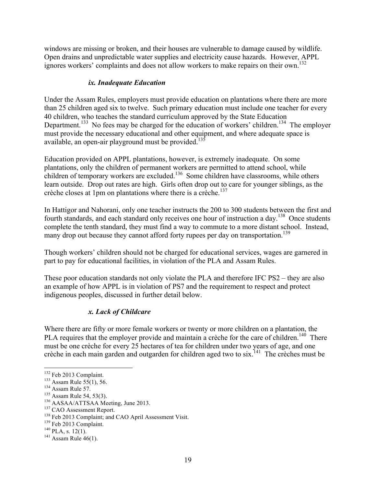windows are missing or broken, and their houses are vulnerable to damage caused by wildlife. Open drains and unpredictable water supplies and electricity cause hazards. However, APPL ignores workers' complaints and does not allow workers to make repairs on their own.<sup>132</sup>

## *ix. Inadequate Education*

Under the Assam Rules, employers must provide education on plantations where there are more than 25 children aged six to twelve. Such primary education must include one teacher for every 40 children, who teaches the standard curriculum approved by the State Education Department.<sup>133</sup> No fees may be charged for the education of workers' children.<sup>134</sup> The employer must provide the necessary educational and other equipment, and where adequate space is available, an open-air playground must be provided.<sup>135</sup>

Education provided on APPL plantations, however, is extremely inadequate. On some plantations, only the children of permanent workers are permitted to attend school, while children of temporary workers are excluded.<sup>136</sup> Some children have classrooms, while others learn outside. Drop out rates are high. Girls often drop out to care for younger siblings, as the crèche closes at 1pm on plantations where there is a crèche. 137

In Hattigor and Nahorani, only one teacher instructs the 200 to 300 students between the first and fourth standards, and each standard only receives one hour of instruction a day.<sup>138</sup> Once students complete the tenth standard, they must find a way to commute to a more distant school. Instead, many drop out because they cannot afford forty rupees per day on transportation.<sup>139</sup>

Though workers' children should not be charged for educational services, wages are garnered in part to pay for educational facilities, in violation of the PLA and Assam Rules.

These poor education standards not only violate the PLA and therefore IFC PS2 – they are also an example of how APPL is in violation of PS7 and the requirement to respect and protect indigenous peoples, discussed in further detail below.

## *x. Lack of Childcare*

Where there are fifty or more female workers or twenty or more children on a plantation, the PLA requires that the employer provide and maintain a crèche for the care of children.<sup>140</sup> There must be one crèche for every 25 hectares of tea for children under two years of age, and one crèche in each main garden and outgarden for children aged two to six.<sup>141</sup> The crèches must be

<sup>&</sup>lt;sup>132</sup> Feb 2013 Complaint.<br><sup>133</sup> Assam Rule 55(1), 56.<br><sup>134</sup> Assam Rule 57.<br><sup>135</sup> Assam Rule 54, 53(3).<br><sup>136</sup> AASAA/ATTSAA Meeting, June 2013.<br><sup>137</sup> CAO Assessment Report.<br><sup>137</sup> Feb 2013 Complaint; and CAO April Assessment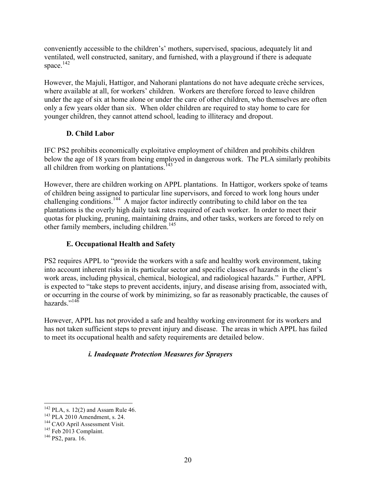conveniently accessible to the children's' mothers, supervised, spacious, adequately lit and ventilated, well constructed, sanitary, and furnished, with a playground if there is adequate space.<sup>142</sup>

However, the Majuli, Hattigor, and Nahorani plantations do not have adequate crèche services, where available at all, for workers' children. Workers are therefore forced to leave children under the age of six at home alone or under the care of other children, who themselves are often only a few years older than six. When older children are required to stay home to care for younger children, they cannot attend school, leading to illiteracy and dropout.

## **D. Child Labor**

IFC PS2 prohibits economically exploitative employment of children and prohibits children below the age of 18 years from being employed in dangerous work. The PLA similarly prohibits all children from working on plantations.<sup>143</sup>

However, there are children working on APPL plantations. In Hattigor, workers spoke of teams of children being assigned to particular line supervisors, and forced to work long hours under challenging conditions.<sup>144</sup> A major factor indirectly contributing to child labor on the tea plantations is the overly high daily task rates required of each worker. In order to meet their quotas for plucking, pruning, maintaining drains, and other tasks, workers are forced to rely on other family members, including children.<sup>145</sup>

## **E. Occupational Health and Safety**

PS2 requires APPL to "provide the workers with a safe and healthy work environment, taking into account inherent risks in its particular sector and specific classes of hazards in the client's work areas, including physical, chemical, biological, and radiological hazards." Further, APPL is expected to "take steps to prevent accidents, injury, and disease arising from, associated with, or occurring in the course of work by minimizing, so far as reasonably practicable, the causes of hazards $^{145}$ 

However, APPL has not provided a safe and healthy working environment for its workers and has not taken sufficient steps to prevent injury and disease. The areas in which APPL has failed to meet its occupational health and safety requirements are detailed below.

## *i. Inadequate Protection Measures for Sprayers*

<sup>&</sup>lt;sup>142</sup> PLA, s. 12(2) and Assam Rule 46.<br><sup>143</sup> PLA 2010 Amendment, s. 24.<br><sup>144</sup> CAO April Assessment Visit. <sup>145</sup> Feb 2013 Complaint. <sup>146</sup> PS2, para. 16.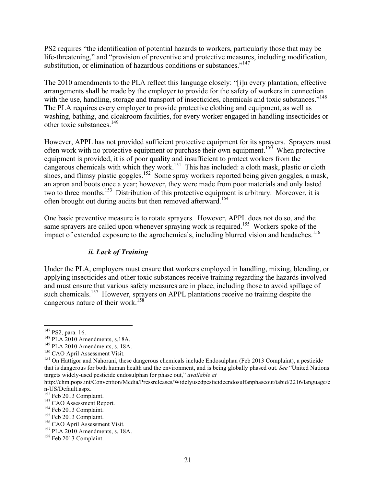PS2 requires "the identification of potential hazards to workers, particularly those that may be life-threatening," and "provision of preventive and protective measures, including modification, substitution, or elimination of hazardous conditions or substances."<sup>147</sup>

The 2010 amendments to the PLA reflect this language closely: "[i]n every plantation, effective arrangements shall be made by the employer to provide for the safety of workers in connection with the use, handling, storage and transport of insecticides, chemicals and toxic substances."<sup>148</sup> The PLA requires every employer to provide protective clothing and equipment, as well as washing, bathing, and cloakroom facilities, for every worker engaged in handling insecticides or other toxic substances.149

However, APPL has not provided sufficient protective equipment for its sprayers. Sprayers must often work with no protective equipment or purchase their own equipment.<sup>150</sup> When protective equipment is provided, it is of poor quality and insufficient to protect workers from the dangerous chemicals with which they work.<sup>151</sup> This has included: a cloth mask, plastic or cloth shoes, and flimsy plastic goggles.<sup>152</sup> Some spray workers reported being given goggles, a mask, an apron and boots once a year; however, they were made from poor materials and only lasted two to three months.<sup>153</sup> Distribution of this protective equipment is arbitrary. Moreover, it is often brought out during audits but then removed afterward.154

One basic preventive measure is to rotate sprayers. However, APPL does not do so, and the same sprayers are called upon whenever spraying work is required.<sup>155</sup> Workers spoke of the impact of extended exposure to the agrochemicals, including blurred vision and headaches.<sup>156</sup>

## *ii. Lack of Training*

Under the PLA, employers must ensure that workers employed in handling, mixing, blending, or applying insecticides and other toxic substances receive training regarding the hazards involved and must ensure that various safety measures are in place, including those to avoid spillage of such chemicals.<sup>157</sup> However, sprayers on APPL plantations receive no training despite the dangerous nature of their work.<sup>158</sup>

<sup>&</sup>lt;sup>147</sup> PS2, para. 16.<br><sup>148</sup> PLA 2010 Amendments, s. 18A.<br><sup>149</sup> PLA 2010 Amendments, s. 18A.<br><sup>150</sup> CAO April Assessment Visit.

<sup>&</sup>lt;sup>151</sup> On Hattigor and Nahorani, these dangerous chemicals include Endosulphan (Feb 2013 Complaint), a pesticide that is dangerous for both human health and the environment, and is being globally phased out. *See* "United Nations targets widely-used pesticide endosulphan for phase out," *available at* 

http://chm.pops.int/Convention/Media/Pressreleases/Widelyusedpesticideendosulfanphaseout/tabid/2216/language/e n-US/Default.aspx.<br><sup>152</sup> Feb 2013 Complaint.<br><sup>154</sup> Feb 2013 Complaint.<br><sup>155</sup> Feb 2013 Complaint.<br><sup>156</sup> CAO April Assessment Visit.<br><sup>156</sup> PLA 2010 Amendments, s. 18A.<br><sup>158</sup> Feb 2013 Complaint.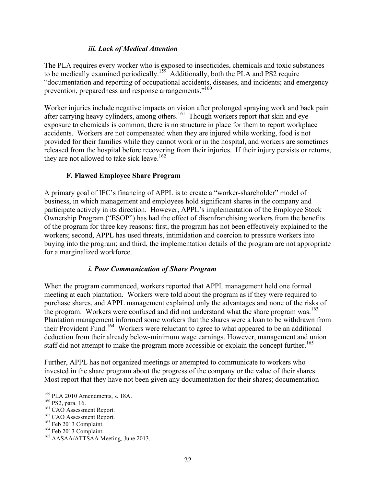## *iii. Lack of Medical Attention*

The PLA requires every worker who is exposed to insecticides, chemicals and toxic substances to be medically examined periodically.<sup>159</sup> Additionally, both the PLA and PS2 require "documentation and reporting of occupational accidents, diseases, and incidents; and emergency prevention, preparedness and response arrangements."<sup>160</sup>

Worker injuries include negative impacts on vision after prolonged spraying work and back pain after carrying heavy cylinders, among others.<sup>161</sup> Though workers report that skin and eye exposure to chemicals is common, there is no structure in place for them to report workplace accidents. Workers are not compensated when they are injured while working, food is not provided for their families while they cannot work or in the hospital, and workers are sometimes released from the hospital before recovering from their injuries. If their injury persists or returns, they are not allowed to take sick leave.<sup>162</sup>

## **F. Flawed Employee Share Program**

A primary goal of IFC's financing of APPL is to create a "worker-shareholder" model of business, in which management and employees hold significant shares in the company and participate actively in its direction. However, APPL's implementation of the Employee Stock Ownership Program ("ESOP") has had the effect of disenfranchising workers from the benefits of the program for three key reasons: first, the program has not been effectively explained to the workers; second, APPL has used threats, intimidation and coercion to pressure workers into buying into the program; and third, the implementation details of the program are not appropriate for a marginalized workforce.

## *i. Poor Communication of Share Program*

When the program commenced, workers reported that APPL management held one formal meeting at each plantation. Workers were told about the program as if they were required to purchase shares, and APPL management explained only the advantages and none of the risks of the program. Workers were confused and did not understand what the share program was.<sup>163</sup> Plantation management informed some workers that the shares were a loan to be withdrawn from their Provident Fund.164 Workers were reluctant to agree to what appeared to be an additional deduction from their already below-minimum wage earnings. However, management and union staff did not attempt to make the program more accessible or explain the concept further.<sup>165</sup>

Further, APPL has not organized meetings or attempted to communicate to workers who invested in the share program about the progress of the company or the value of their shares. Most report that they have not been given any documentation for their shares; documentation

<sup>&</sup>lt;sup>159</sup> PLA 2010 Amendments, s. 18A.<br><sup>160</sup> PS2, para. 16.<br><sup>161</sup> CAO Assessment Report.<br><sup>162</sup> CAO Assessment Report.<br><sup>163</sup> Feb 2013 Complaint.<br><sup>164</sup> Feb 2013 Complaint.<br><sup>165</sup> AASAA/ATTSAA Meeting, June 2013.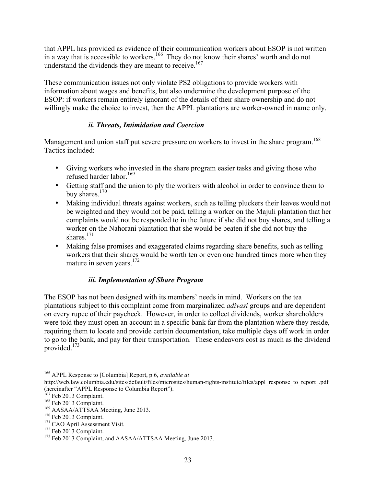that APPL has provided as evidence of their communication workers about ESOP is not written in a way that is accessible to workers.<sup>166</sup> They do not know their shares' worth and do not understand the dividends they are meant to receive.<sup>167</sup>

These communication issues not only violate PS2 obligations to provide workers with information about wages and benefits, but also undermine the development purpose of the ESOP: if workers remain entirely ignorant of the details of their share ownership and do not willingly make the choice to invest, then the APPL plantations are worker-owned in name only.

## *ii. Threats, Intimidation and Coercion*

Management and union staff put severe pressure on workers to invest in the share program.<sup>168</sup> Tactics included:

- Giving workers who invested in the share program easier tasks and giving those who refused harder labor.<sup>169</sup>
- Getting staff and the union to ply the workers with alcohol in order to convince them to buy shares.<sup>170</sup>
- Making individual threats against workers, such as telling pluckers their leaves would not be weighted and they would not be paid, telling a worker on the Majuli plantation that her complaints would not be responded to in the future if she did not buy shares, and telling a worker on the Nahorani plantation that she would be beaten if she did not buy the shares $171$
- Making false promises and exaggerated claims regarding share benefits, such as telling workers that their shares would be worth ten or even one hundred times more when they mature in seven years.<sup>172</sup>

## *iii. Implementation of Share Program*

The ESOP has not been designed with its members' needs in mind. Workers on the tea plantations subject to this complaint come from marginalized *adivasi* groups and are dependent on every rupee of their paycheck. However, in order to collect dividends, worker shareholders were told they must open an account in a specific bank far from the plantation where they reside, requiring them to locate and provide certain documentation, take multiple days off work in order to go to the bank, and pay for their transportation. These endeavors cost as much as the dividend provided.173

 <sup>166</sup> APPL Response to [Columbia] Report, p.6, *available at*

http://web.law.columbia.edu/sites/default/files/microsites/human-rights-institute/files/appl\_response\_to\_report\_.pdf (hereinafter "APPL Response to Columbia Report").<br><sup>167</sup> Feb 2013 Complaint.

<sup>&</sup>lt;sup>168</sup> Feb 2013 Complaint.<br><sup>169</sup> AASAA/ATTSAA Meeting, June 2013.<br><sup>170</sup> Feb 2013 Complaint.<br><sup>171</sup> CAO April Assessment Visit.<br><sup>172</sup> Feb 2013 Complaint.<br><sup>173</sup> Feb 2013 Complaint, and AASAA/ATTSAA Meeting, June 2013.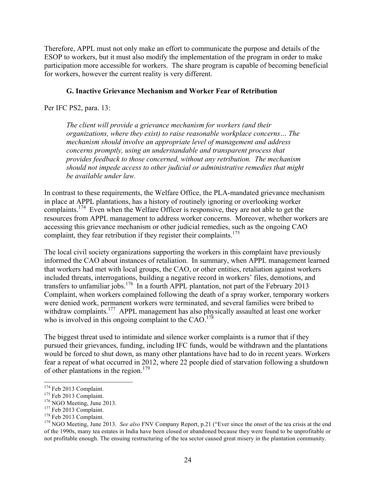Therefore, APPL must not only make an effort to communicate the purpose and details of the ESOP to workers, but it must also modify the implementation of the program in order to make participation more accessible for workers. The share program is capable of becoming beneficial for workers, however the current reality is very different.

### **G. Inactive Grievance Mechanism and Worker Fear of Retribution**

Per IFC PS2, para. 13:

*The client will provide a grievance mechanism for workers (and their organizations, where they exist) to raise reasonable workplace concerns… The mechanism should involve an appropriate level of management and address concerns promptly, using an understandable and transparent process that provides feedback to those concerned, without any retribution. The mechanism should not impede access to other judicial or administrative remedies that might be available under law.*

In contrast to these requirements, the Welfare Office, the PLA-mandated grievance mechanism in place at APPL plantations, has a history of routinely ignoring or overlooking worker complaints.<sup>174</sup> Even when the Welfare Officer is responsive, they are not able to get the resources from APPL management to address worker concerns. Moreover, whether workers are accessing this grievance mechanism or other judicial remedies, such as the ongoing CAO complaint, they fear retribution if they register their complaints.<sup>175</sup>

The local civil society organizations supporting the workers in this complaint have previously informed the CAO about instances of retaliation. In summary, when APPL management learned that workers had met with local groups, the CAO, or other entities, retaliation against workers included threats, interrogations, building a negative record in workers' files, demotions, and transfers to unfamiliar jobs.<sup>176</sup> In a fourth APPL plantation, not part of the February 2013 Complaint, when workers complained following the death of a spray worker, temporary workers were denied work, permanent workers were terminated, and several families were bribed to withdraw complaints.<sup>177</sup> APPL management has also physically assaulted at least one worker who is involved in this ongoing complaint to the  $CAO$ .<sup>178</sup>

The biggest threat used to intimidate and silence worker complaints is a rumor that if they pursued their grievances, funding, including IFC funds, would be withdrawn and the plantations would be forced to shut down, as many other plantations have had to do in recent years. Workers fear a repeat of what occurred in 2012, where 22 people died of starvation following a shutdown of other plantations in the region.<sup>179</sup>

<sup>&</sup>lt;sup>174</sup> Feb 2013 Complaint.<br>
<sup>175</sup> Feb 2013 Complaint.<br>
<sup>176</sup> NGO Meeting, June 2013.<br>
<sup>176</sup> Feb 2013 Complaint.<br>
<sup>178</sup> Feb 2013 Complaint.<br>
<sup>178</sup> NGO Meeting, June 2013. *See also* FNV Company Report, p.21 ("Ever since the of the 1990s, many tea estates in India have been closed or abandoned because they were found to be unprofitable or not profitable enough. The ensuing restructuring of the tea sector caused great misery in the plantation community.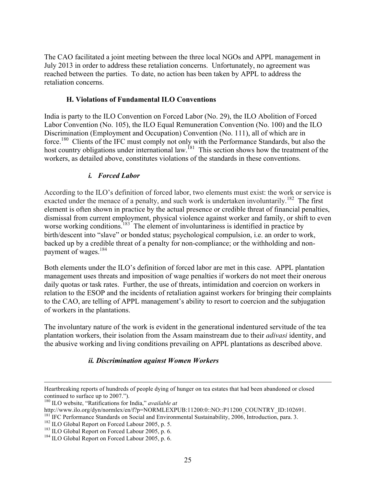The CAO facilitated a joint meeting between the three local NGOs and APPL management in July 2013 in order to address these retaliation concerns. Unfortunately, no agreement was reached between the parties. To date, no action has been taken by APPL to address the retaliation concerns.

### **H. Violations of Fundamental ILO Conventions**

India is party to the ILO Convention on Forced Labor (No. 29), the ILO Abolition of Forced Labor Convention (No. 105), the ILO Equal Remuneration Convention (No. 100) and the ILO Discrimination (Employment and Occupation) Convention (No. 111), all of which are in force.<sup>180</sup> Clients of the IFC must comply not only with the Performance Standards, but also the host country obligations under international law.<sup>181</sup> This section shows how the treatment of the workers, as detailed above, constitutes violations of the standards in these conventions.

## *i. Forced Labor*

According to the ILO's definition of forced labor, two elements must exist: the work or service is exacted under the menace of a penalty, and such work is undertaken involuntarily.<sup>182</sup> The first element is often shown in practice by the actual presence or credible threat of financial penalties, dismissal from current employment, physical violence against worker and family, or shift to even worse working conditions.<sup>183</sup> The element of involuntariness is identified in practice by birth/descent into "slave" or bonded status; psychological compulsion, i.e. an order to work, backed up by a credible threat of a penalty for non-compliance; or the withholding and nonpayment of wages.<sup>184</sup>

Both elements under the ILO's definition of forced labor are met in this case. APPL plantation management uses threats and imposition of wage penalties if workers do not meet their onerous daily quotas or task rates. Further, the use of threats, intimidation and coercion on workers in relation to the ESOP and the incidents of retaliation against workers for bringing their complaints to the CAO, are telling of APPL management's ability to resort to coercion and the subjugation of workers in the plantations.

The involuntary nature of the work is evident in the generational indentured servitude of the tea plantation workers, their isolation from the Assam mainstream due to their *adivasi* identity, and the abusive working and living conditions prevailing on APPL plantations as described above.

## *ii. Discrimination against Women Workers*

<u> 1989 - Andrea San Andrea San Andrea San Andrea San Andrea San Andrea San Andrea San Andrea San Andrea San An</u>

Heartbreaking reports of hundreds of people dying of hunger on tea estates that had been abandoned or closed continued to surface up to 2007.").

<sup>&</sup>lt;sup>180</sup> ILO website, "Ratifications for India," *available at*<br>http://www.ilo.org/dyn/normlex/en/f?p=NORMLEXPUB:11200:0::NO::P11200 COUNTRY ID:102691.

<sup>&</sup>lt;sup>181</sup> IFC Performance Standards on Social and Environmental Sustainability, 2006, Introduction, para. 3.<br><sup>182</sup> ILO Global Report on Forced Labour 2005, p. 5.<br><sup>183</sup> ILO Global Report on Forced Labour 2005, p. 6.<br><sup>184</sup> ILO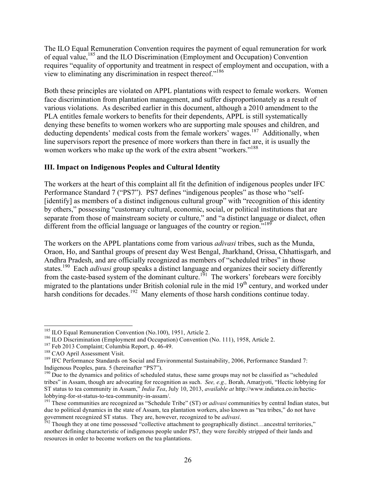The ILO Equal Remuneration Convention requires the payment of equal remuneration for work of equal value,<sup>185</sup> and the ILO Discrimination (Employment and Occupation) Convention requires "equality of opportunity and treatment in respect of employment and occupation, with a view to eliminating any discrimination in respect thereof."<sup>186</sup>

Both these principles are violated on APPL plantations with respect to female workers. Women face discrimination from plantation management, and suffer disproportionately as a result of various violations. As described earlier in this document, although a 2010 amendment to the PLA entitles female workers to benefits for their dependents, APPL is still systematically denying these benefits to women workers who are supporting male spouses and children, and deducting dependents' medical costs from the female workers' wages.<sup>187</sup> Additionally, when line supervisors report the presence of more workers than there in fact are, it is usually the women workers who make up the work of the extra absent "workers."<sup>188</sup>

## **III. Impact on Indigenous Peoples and Cultural Identity**

The workers at the heart of this complaint all fit the definition of indigenous peoples under IFC Performance Standard 7 ("PS7"). PS7 defines "indigenous peoples" as those who "self- [identify] as members of a distinct indigenous cultural group" with "recognition of this identity by others," possessing "customary cultural, economic, social, or political institutions that are separate from those of mainstream society or culture," and "a distinct language or dialect, often different from the official language or languages of the country or region."<sup>189</sup>

The workers on the APPL plantations come from various *adivasi* tribes, such as the Munda, Oraon, Ho, and Santhal groups of present day West Bengal, Jharkhand, Orissa, Chhattisgarh, and Andhra Pradesh, and are officially recognized as members of "scheduled tribes" in those states. <sup>190</sup> Each *adivasi* group speaks a distinct language and organizes their society differently from the caste-based system of the dominant culture.<sup>191</sup> The workers' forebears were forcibly migrated to the plantations under British colonial rule in the mid 19<sup>th</sup> century, and worked under harsh conditions for decades.<sup>192</sup> Many elements of those harsh conditions continue today.

<sup>&</sup>lt;sup>185</sup> ILO Equal Remuneration Convention (No.100), 1951, Article 2.<br><sup>186</sup> ILO Discrimination (Employment and Occupation) Convention (No. 111), 1958, Article 2.<br><sup>187</sup> Feb 2013 Complaint; Columbia Report, p. 46-49.<br><sup>189</sup> IFC

Indigenous Peoples, para. 5 (hereinafter "PS7").

<sup>&</sup>lt;sup>190</sup> Due to the dynamics and politics of scheduled status, these same groups may not be classified as "scheduled tribes" in Assam, though are advocating for recognition as such. *See, e.g.,* Borah, Amarjyoti, "Hectic lobbying for ST status to tea community in Assam," *India Tea*, July 10, 2013, *available at* http://www.indiatea.co.in/hecticlobbying-for-st-status-to-tea-community-in-assam/. <sup>191</sup> These communities are recognized as "Schedule Tribe" (ST) or *adivasi* communities by central Indian states, but

due to political dynamics in the state of Assam, tea plantation workers, also known as "tea tribes," do not have government recognized ST status. They are, however, recognized to be *adivasi*.<br><sup>192</sup> Though they at one time possessed "collective attachment to geographically distinct…ancestral territories,"

another defining characteristic of indigenous people under PS7, they were forcibly stripped of their lands and resources in order to become workers on the tea plantations.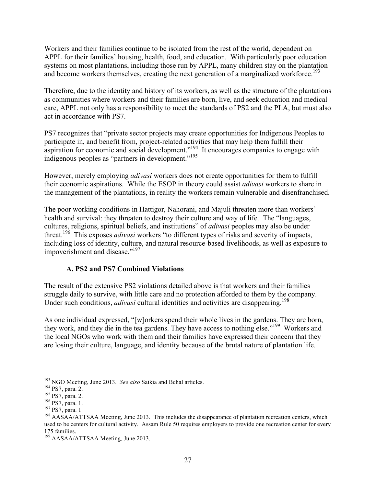Workers and their families continue to be isolated from the rest of the world, dependent on APPL for their families' housing, health, food, and education. With particularly poor education systems on most plantations, including those run by APPL, many children stay on the plantation and become workers themselves, creating the next generation of a marginalized workforce.<sup>193</sup>

Therefore, due to the identity and history of its workers, as well as the structure of the plantations as communities where workers and their families are born, live, and seek education and medical care, APPL not only has a responsibility to meet the standards of PS2 and the PLA, but must also act in accordance with PS7.

PS7 recognizes that "private sector projects may create opportunities for Indigenous Peoples to participate in, and benefit from, project-related activities that may help them fulfill their aspiration for economic and social development."<sup>194</sup> It encourages companies to engage with indigenous peoples as "partners in development."<sup>195</sup>

However, merely employing *adivasi* workers does not create opportunities for them to fulfill their economic aspirations. While the ESOP in theory could assist *adivasi* workers to share in the management of the plantations, in reality the workers remain vulnerable and disenfranchised.

The poor working conditions in Hattigor, Nahorani, and Majuli threaten more than workers' health and survival: they threaten to destroy their culture and way of life. The "languages, cultures, religions, spiritual beliefs, and institutions" of *adivasi* peoples may also be under threat.196 This exposes *adivasi* workers "to different types of risks and severity of impacts, including loss of identity, culture, and natural resource-based livelihoods, as well as exposure to impoverishment and disease."<sup>197</sup>

## **A. PS2 and PS7 Combined Violations**

The result of the extensive PS2 violations detailed above is that workers and their families struggle daily to survive, with little care and no protection afforded to them by the company. Under such conditions, *adivasi* cultural identities and activities are disappearing.<sup>198</sup>

As one individual expressed, "[w]orkers spend their whole lives in the gardens. They are born, they work, and they die in the tea gardens. They have access to nothing else."<sup>199</sup> Workers and the local NGOs who work with them and their families have expressed their concern that they are losing their culture, language, and identity because of the brutal nature of plantation life.

<sup>&</sup>lt;sup>193</sup> NGO Meeting, June 2013. *See also* Saikia and Behal articles.<br><sup>194</sup> PS7, para. 2.<br><sup>195</sup> PS7, para. 2.<br><sup>196</sup> PS7, para. 1.<br><sup>197</sup> PS7, para. 1.<br><sup>197</sup> PS7, para. 1<br><sup>197</sup> PS7, para. 1 used to be centers for cultural activity. Assam Rule 50 requires employers to provide one recreation center for every 175 families.

<sup>&</sup>lt;sup>199</sup> AASAA/ATTSAA Meeting, June 2013.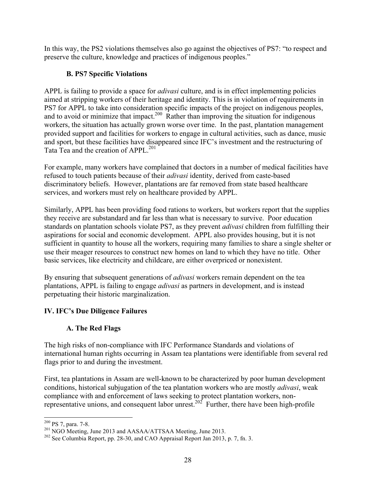In this way, the PS2 violations themselves also go against the objectives of PS7: "to respect and preserve the culture, knowledge and practices of indigenous peoples."

## **B. PS7 Specific Violations**

APPL is failing to provide a space for *adivasi* culture, and is in effect implementing policies aimed at stripping workers of their heritage and identity. This is in violation of requirements in PS7 for APPL to take into consideration specific impacts of the project on indigenous peoples, and to avoid or minimize that impact.<sup>200</sup> Rather than improving the situation for indigenous workers, the situation has actually grown worse over time. In the past, plantation management provided support and facilities for workers to engage in cultural activities, such as dance, music and sport, but these facilities have disappeared since IFC's investment and the restructuring of Tata Tea and the creation of APPL.<sup>201</sup>

For example, many workers have complained that doctors in a number of medical facilities have refused to touch patients because of their *adivasi* identity, derived from caste-based discriminatory beliefs. However, plantations are far removed from state based healthcare services, and workers must rely on healthcare provided by APPL.

Similarly, APPL has been providing food rations to workers, but workers report that the supplies they receive are substandard and far less than what is necessary to survive. Poor education standards on plantation schools violate PS7, as they prevent *adivasi* children from fulfilling their aspirations for social and economic development. APPL also provides housing, but it is not sufficient in quantity to house all the workers, requiring many families to share a single shelter or use their meager resources to construct new homes on land to which they have no title. Other basic services, like electricity and childcare, are either overpriced or nonexistent.

By ensuring that subsequent generations of *adivasi* workers remain dependent on the tea plantations, APPL is failing to engage *adivasi* as partners in development, and is instead perpetuating their historic marginalization.

# **IV. IFC's Due Diligence Failures**

# **A. The Red Flags**

The high risks of non-compliance with IFC Performance Standards and violations of international human rights occurring in Assam tea plantations were identifiable from several red flags prior to and during the investment.

First, tea plantations in Assam are well-known to be characterized by poor human development conditions, historical subjugation of the tea plantation workers who are mostly *adivasi*, weak compliance with and enforcement of laws seeking to protect plantation workers, nonrepresentative unions, and consequent labor unrest.<sup>202</sup> Further, there have been high-profile

<sup>&</sup>lt;sup>200</sup> PS 7, para. 7-8.<br><sup>201</sup> NGO Meeting, June 2013 and AASAA/ATTSAA Meeting, June 2013.<br><sup>202</sup> See Columbia Report, pp. 28-30, and CAO Appraisal Report Jan 2013, p. 7, fn. 3.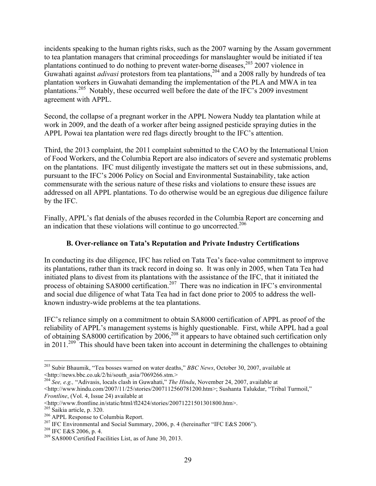incidents speaking to the human rights risks, such as the 2007 warning by the Assam government to tea plantation managers that criminal proceedings for manslaughter would be initiated if tea plantations continued to do nothing to prevent water-borne diseases,  $203$  2007 violence in Guwahati against *adivasi* protestors from tea plantations, <sup>204</sup> and a 2008 rally by hundreds of tea plantation workers in Guwahati demanding the implementation of the PLA and MWA in tea plantations.<sup>205</sup> Notably, these occurred well before the date of the IFC's 2009 investment agreement with APPL.

Second, the collapse of a pregnant worker in the APPL Nowera Nuddy tea plantation while at work in 2009, and the death of a worker after being assigned pesticide spraying duties in the APPL Powai tea plantation were red flags directly brought to the IFC's attention.

Third, the 2013 complaint, the 2011 complaint submitted to the CAO by the International Union of Food Workers, and the Columbia Report are also indicators of severe and systematic problems on the plantations. IFC must diligently investigate the matters set out in these submissions, and, pursuant to the IFC's 2006 Policy on Social and Environmental Sustainability, take action commensurate with the serious nature of these risks and violations to ensure these issues are addressed on all APPL plantations. To do otherwise would be an egregious due diligence failure by the IFC.

Finally, APPL's flat denials of the abuses recorded in the Columbia Report are concerning and an indication that these violations will continue to go uncorrected.<sup>206</sup>

## **B. Over-reliance on Tata's Reputation and Private Industry Certifications**

In conducting its due diligence, IFC has relied on Tata Tea's face-value commitment to improve its plantations, rather than its track record in doing so. It was only in 2005, when Tata Tea had initiated plans to divest from its plantations with the assistance of the IFC, that it initiated the process of obtaining SA8000 certification.<sup>207</sup> There was no indication in IFC's environmental and social due diligence of what Tata Tea had in fact done prior to 2005 to address the wellknown industry-wide problems at the tea plantations.

IFC's reliance simply on a commitment to obtain SA8000 certification of APPL as proof of the reliability of APPL's management systems is highly questionable. First, while APPL had a goal of obtaining SA8000 certification by 2006,<sup>208</sup> it appears to have obtained such certification only in 2011.<sup>209</sup> This should have been taken into account in determining the challenges to obtaining

<sup>&</sup>lt;sup>203</sup> Subir Bhaumik, "Tea bosses warned on water deaths," *BBC News*, October 30, 2007, available at <http://news.bbc.co.uk/2/hi/south asia/7069266.stm.>

<sup>&</sup>lt;sup>204</sup> See, e.g., "Adivasis, locals clash in Guwahati," *The Hindu*, November 24, 2007, available at <http://www.hindu.com/2007/11/25/stories/2007112560781200.htm>; Sushanta Talukdar, "Tribal Turmoil,"

*Frontline*, (Vol. 4, Issue 24) available at <br>  $\langle$ http://www.frontline.in/static/html/fl2424/stories/20071221501301800.htm>.

<sup>&</sup>lt;sup>205</sup> Saikia article, p. 320.<br><sup>206</sup> APPL Response to Columbia Report.<br><sup>207</sup> IFC Environmental and Social Summary, 2006, p. 4 (hereinafter "IFC E&S 2006").<br><sup>208</sup> IFC E&S 2006, p. 4.<br><sup>209</sup> SA8000 Certified Facilities List,